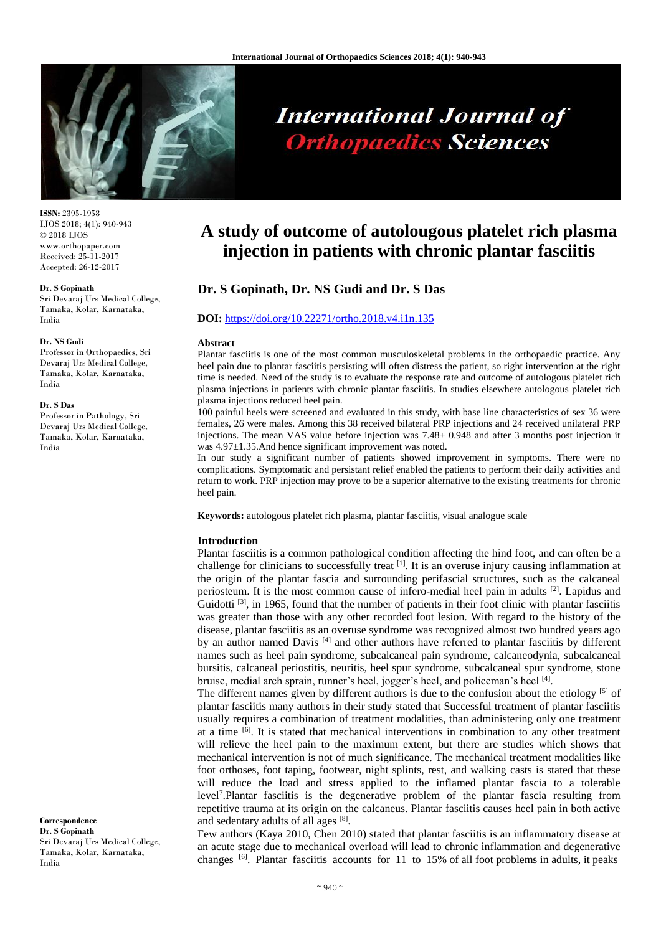

# **International Journal of Orthopaedics Sciences**

**ISSN:** 2395-1958 IJOS 2018; 4(1): 940-943 © 2018 IJOS www.orthopaper.com Received: 25-11-2017 Accepted: 26-12-2017

#### **Dr. S Gopinath**

Sri Devaraj Urs Medical College, Tamaka, Kolar, Karnataka, India

#### **Dr. NS Gudi**

Professor in Orthopaedics, Sri Devaraj Urs Medical College, Tamaka, Kolar, Karnataka, India

#### **Dr. S Das**

Professor in Pathology, Sri Devaraj Urs Medical College, Tamaka, Kolar, Karnataka, India

**Correspondence Dr. S Gopinath** Sri Devaraj Urs Medical College, Tamaka, Kolar, Karnataka, India

# **A study of outcome of autolougous platelet rich plasma injection in patients with chronic plantar fasciitis**

# **Dr. S Gopinath, Dr. NS Gudi and Dr. S Das**

#### **DOI:** <https://doi.org/10.22271/ortho.2018.v4.i1n.135>

#### **Abstract**

Plantar fasciitis is one of the most common musculoskeletal problems in the orthopaedic practice. Any heel pain due to plantar fasciitis persisting will often distress the patient, so right intervention at the right time is needed. Need of the study is to evaluate the response rate and outcome of autologous platelet rich plasma injections in patients with chronic plantar fasciitis. In studies elsewhere autologous platelet rich plasma injections reduced heel pain.

100 painful heels were screened and evaluated in this study, with base line characteristics of sex 36 were females, 26 were males. Among this 38 received bilateral PRP injections and 24 received unilateral PRP injections. The mean VAS value before injection was 7.48± 0.948 and after 3 months post injection it was 4.97±1.35.And hence significant improvement was noted.

In our study a significant number of patients showed improvement in symptoms. There were no complications. Symptomatic and persistant relief enabled the patients to perform their daily activities and return to work. PRP injection may prove to be a superior alternative to the existing treatments for chronic heel pain.

**Keywords:** autologous platelet rich plasma, plantar fasciitis, visual analogue scale

#### **Introduction**

Plantar fasciitis is a common pathological condition affecting the hind foot, and can often be a challenge for clinicians to successfully treat  $\left[1\right]$ . It is an overuse injury causing inflammation at the origin of the plantar fascia and surrounding perifascial structures, such as the calcaneal periosteum. It is the most common cause of infero-medial heel pain in adults <sup>[2]</sup>. Lapidus and Guidotti  $^{[3]}$ , in 1965, found that the number of patients in their foot clinic with plantar fasciitis was greater than those with any other recorded foot lesion. With regard to the history of the disease, plantar fasciitis as an overuse syndrome was recognized almost two hundred years ago by an author named Davis<sup>[4]</sup> and other authors have referred to plantar fasciitis by different names such as heel pain syndrome, subcalcaneal pain syndrome, calcaneodynia, subcalcaneal bursitis, calcaneal periostitis, neuritis, heel spur syndrome, subcalcaneal spur syndrome, stone bruise, medial arch sprain, runner's heel, jogger's heel, and policeman's heel [4].

The different names given by different authors is due to the confusion about the etiology [5] of plantar fasciitis many authors in their study stated that Successful treatment of plantar fasciitis usually requires a combination of treatment modalities, than administering only one treatment at a time  $\left[6\right]$ . It is stated that mechanical interventions in combination to any other treatment will relieve the heel pain to the maximum extent, but there are studies which shows that mechanical intervention is not of much significance. The mechanical treatment modalities like foot orthoses, foot taping, footwear, night splints, rest, and walking casts is stated that these will reduce the load and stress applied to the inflamed plantar fascia to a tolerable level<sup>7</sup> .Plantar fasciitis is the degenerative problem of the plantar fascia resulting from repetitive trauma at its origin on the calcaneus. Plantar fasciitis causes heel pain in both active and sedentary adults of all ages [8].

Few authors (Kaya 2010, Chen 2010) stated that plantar fasciitis is an inflammatory disease at an acute stage due to mechanical overload will lead to chronic inflammation and degenerative changes [6]. Plantar fasciitis accounts for 11 to 15% of all foot problems in adults, it peaks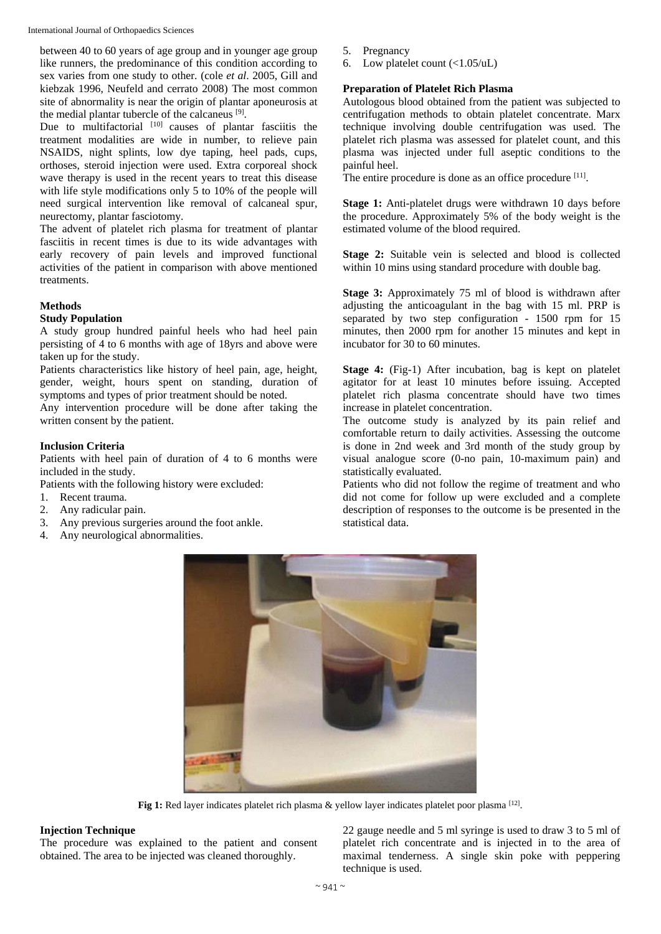International Journal of Orthopaedics Sciences

between 40 to 60 years of age group and in younger age group like runners, the predominance of this condition according to sex varies from one study to other. (cole *et al*. 2005, Gill and kiebzak 1996, Neufeld and cerrato 2008) The most common site of abnormality is near the origin of plantar aponeurosis at the medial plantar tubercle of the calcaneus [9].

Due to multifactorial [10] causes of plantar fasciitis the treatment modalities are wide in number, to relieve pain NSAIDS, night splints, low dye taping, heel pads, cups, orthoses, steroid injection were used. Extra corporeal shock wave therapy is used in the recent years to treat this disease with life style modifications only 5 to 10% of the people will need surgical intervention like removal of calcaneal spur, neurectomy, plantar fasciotomy.

The advent of platelet rich plasma for treatment of plantar fasciitis in recent times is due to its wide advantages with early recovery of pain levels and improved functional activities of the patient in comparison with above mentioned treatments.

## **Methods**

#### **Study Population**

A study group hundred painful heels who had heel pain persisting of 4 to 6 months with age of 18yrs and above were taken up for the study.

Patients characteristics like history of heel pain, age, height, gender, weight, hours spent on standing, duration of symptoms and types of prior treatment should be noted.

Any intervention procedure will be done after taking the written consent by the patient.

#### **Inclusion Criteria**

Patients with heel pain of duration of 4 to 6 months were included in the study.

Patients with the following history were excluded:

- 1. Recent trauma.
- 2. Any radicular pain.
- 3. Any previous surgeries around the foot ankle.
- 4. Any neurological abnormalities.
- 5. Pregnancy
- 6. Low platelet count (<1.05/uL)

#### **Preparation of Platelet Rich Plasma**

Autologous blood obtained from the patient was subjected to centrifugation methods to obtain platelet concentrate. Marx technique involving double centrifugation was used. The platelet rich plasma was assessed for platelet count, and this plasma was injected under full aseptic conditions to the painful heel.

The entire procedure is done as an office procedure [11].

**Stage 1:** Anti-platelet drugs were withdrawn 10 days before the procedure. Approximately 5% of the body weight is the estimated volume of the blood required.

**Stage 2:** Suitable vein is selected and blood is collected within 10 mins using standard procedure with double bag.

**Stage 3:** Approximately 75 ml of blood is withdrawn after adjusting the anticoagulant in the bag with 15 ml. PRP is separated by two step configuration - 1500 rpm for 15 minutes, then 2000 rpm for another 15 minutes and kept in incubator for 30 to 60 minutes.

**Stage 4:** (Fig-1) After incubation, bag is kept on platelet agitator for at least 10 minutes before issuing. Accepted platelet rich plasma concentrate should have two times increase in platelet concentration.

The outcome study is analyzed by its pain relief and comfortable return to daily activities. Assessing the outcome is done in 2nd week and 3rd month of the study group by visual analogue score (0-no pain, 10-maximum pain) and statistically evaluated.

Patients who did not follow the regime of treatment and who did not come for follow up were excluded and a complete description of responses to the outcome is be presented in the statistical data.



Fig 1: Red layer indicates platelet rich plasma & yellow layer indicates platelet poor plasma [12].

## **Injection Technique**

The procedure was explained to the patient and consent obtained. The area to be injected was cleaned thoroughly.

22 gauge needle and 5 ml syringe is used to draw 3 to 5 ml of platelet rich concentrate and is injected in to the area of maximal tenderness. A single skin poke with peppering technique is used.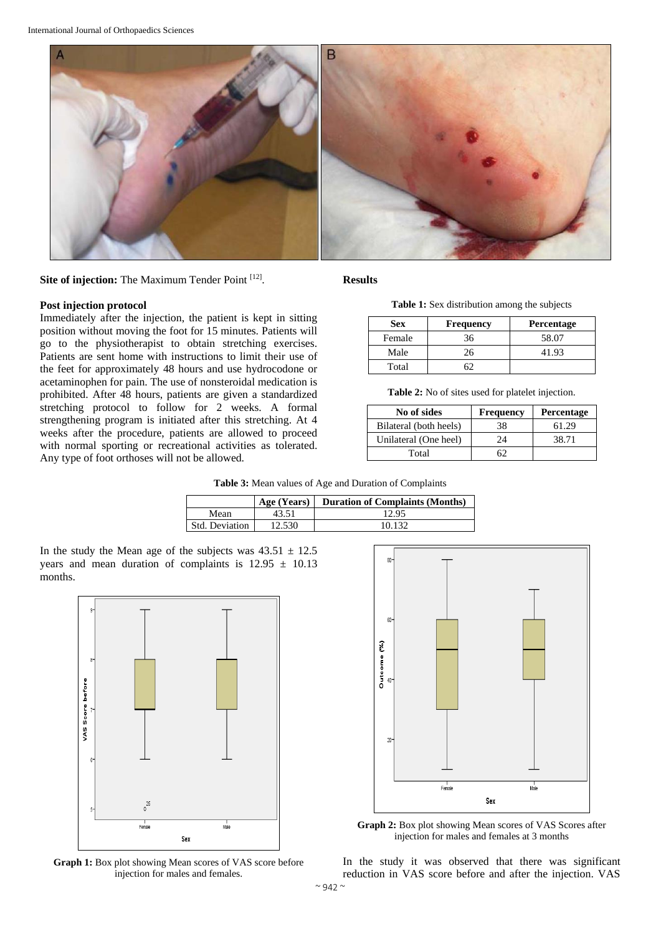



#### **Post injection protocol**

Immediately after the injection, the patient is kept in sitting position without moving the foot for 15 minutes. Patients will go to the physiotherapist to obtain stretching exercises. Patients are sent home with instructions to limit their use of the feet for approximately 48 hours and use hydrocodone or acetaminophen for pain. The use of nonsteroidal medication is prohibited. After 48 hours, patients are given a standardized stretching protocol to follow for 2 weeks. A formal strengthening program is initiated after this stretching. At 4 weeks after the procedure, patients are allowed to proceed with normal sporting or recreational activities as tolerated. Any type of foot orthoses will not be allowed.

**Results**

**Table 1:** Sex distribution among the subjects

| <b>Sex</b> | <b>Frequency</b> | <b>Percentage</b> |
|------------|------------------|-------------------|
| Female     | 36               | 58.07             |
| Male       | 26               | 41.93             |
| Total      |                  |                   |

**Table 2:** No of sites used for platelet injection.

| No of sides            | <b>Frequency</b> | Percentage |
|------------------------|------------------|------------|
| Bilateral (both heels) | 38               | 61.29      |
| Unilateral (One heel)  | 24               | 38.71      |
| Total                  |                  |            |

**Table 3:** Mean values of Age and Duration of Complaints

|                | Age (Years) | <b>Duration of Complaints (Months)</b> |
|----------------|-------------|----------------------------------------|
| Mean           | 43.51       | 12.95                                  |
| Std. Deviation | 12.530      | 10.132                                 |

In the study the Mean age of the subjects was  $43.51 \pm 12.5$ years and mean duration of complaints is  $12.95 \pm 10.13$ months.



**Graph 1:** Box plot showing Mean scores of VAS score before injection for males and females.



**Graph 2:** Box plot showing Mean scores of VAS Scores after injection for males and females at 3 months

In the study it was observed that there was significant reduction in VAS score before and after the injection. VAS